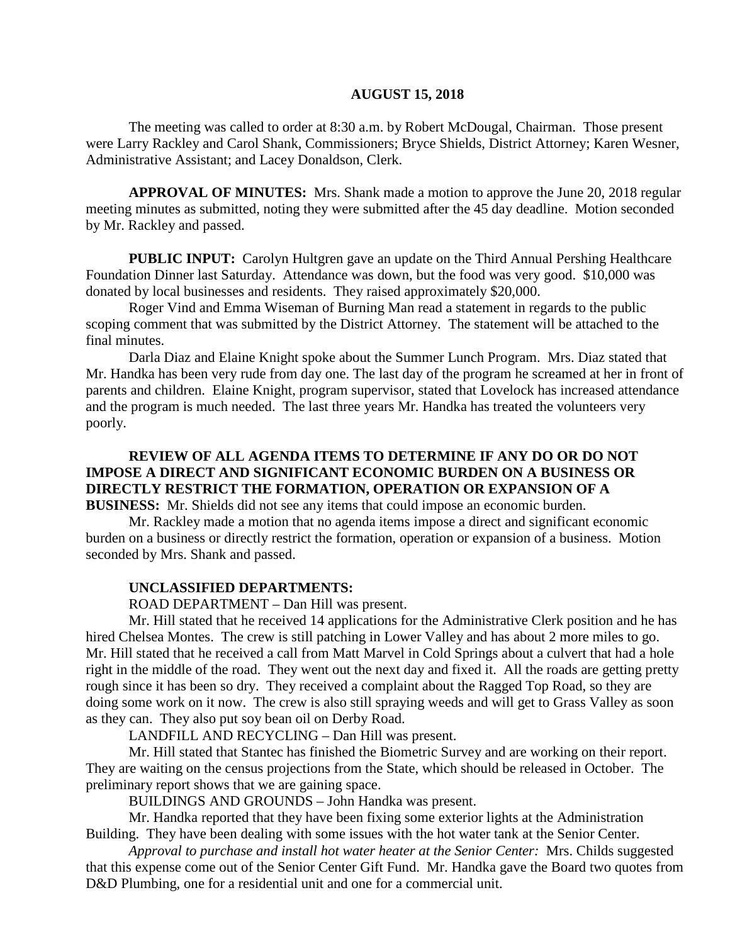#### **AUGUST 15, 2018**

The meeting was called to order at 8:30 a.m. by Robert McDougal, Chairman. Those present were Larry Rackley and Carol Shank, Commissioners; Bryce Shields, District Attorney; Karen Wesner, Administrative Assistant; and Lacey Donaldson, Clerk.

**APPROVAL OF MINUTES:** Mrs. Shank made a motion to approve the June 20, 2018 regular meeting minutes as submitted, noting they were submitted after the 45 day deadline. Motion seconded by Mr. Rackley and passed.

**PUBLIC INPUT:** Carolyn Hultgren gave an update on the Third Annual Pershing Healthcare Foundation Dinner last Saturday. Attendance was down, but the food was very good. \$10,000 was donated by local businesses and residents. They raised approximately \$20,000.

Roger Vind and Emma Wiseman of Burning Man read a statement in regards to the public scoping comment that was submitted by the District Attorney. The statement will be attached to the final minutes.

Darla Diaz and Elaine Knight spoke about the Summer Lunch Program. Mrs. Diaz stated that Mr. Handka has been very rude from day one. The last day of the program he screamed at her in front of parents and children. Elaine Knight, program supervisor, stated that Lovelock has increased attendance and the program is much needed. The last three years Mr. Handka has treated the volunteers very poorly.

# **REVIEW OF ALL AGENDA ITEMS TO DETERMINE IF ANY DO OR DO NOT IMPOSE A DIRECT AND SIGNIFICANT ECONOMIC BURDEN ON A BUSINESS OR DIRECTLY RESTRICT THE FORMATION, OPERATION OR EXPANSION OF A**

**BUSINESS:** Mr. Shields did not see any items that could impose an economic burden.

Mr. Rackley made a motion that no agenda items impose a direct and significant economic burden on a business or directly restrict the formation, operation or expansion of a business. Motion seconded by Mrs. Shank and passed.

### **UNCLASSIFIED DEPARTMENTS:**

ROAD DEPARTMENT – Dan Hill was present.

Mr. Hill stated that he received 14 applications for the Administrative Clerk position and he has hired Chelsea Montes. The crew is still patching in Lower Valley and has about 2 more miles to go. Mr. Hill stated that he received a call from Matt Marvel in Cold Springs about a culvert that had a hole right in the middle of the road. They went out the next day and fixed it. All the roads are getting pretty rough since it has been so dry. They received a complaint about the Ragged Top Road, so they are doing some work on it now. The crew is also still spraying weeds and will get to Grass Valley as soon as they can. They also put soy bean oil on Derby Road.

LANDFILL AND RECYCLING – Dan Hill was present.

Mr. Hill stated that Stantec has finished the Biometric Survey and are working on their report. They are waiting on the census projections from the State, which should be released in October. The preliminary report shows that we are gaining space.

BUILDINGS AND GROUNDS – John Handka was present.

Mr. Handka reported that they have been fixing some exterior lights at the Administration Building. They have been dealing with some issues with the hot water tank at the Senior Center.

*Approval to purchase and install hot water heater at the Senior Center:* Mrs. Childs suggested that this expense come out of the Senior Center Gift Fund. Mr. Handka gave the Board two quotes from D&D Plumbing, one for a residential unit and one for a commercial unit.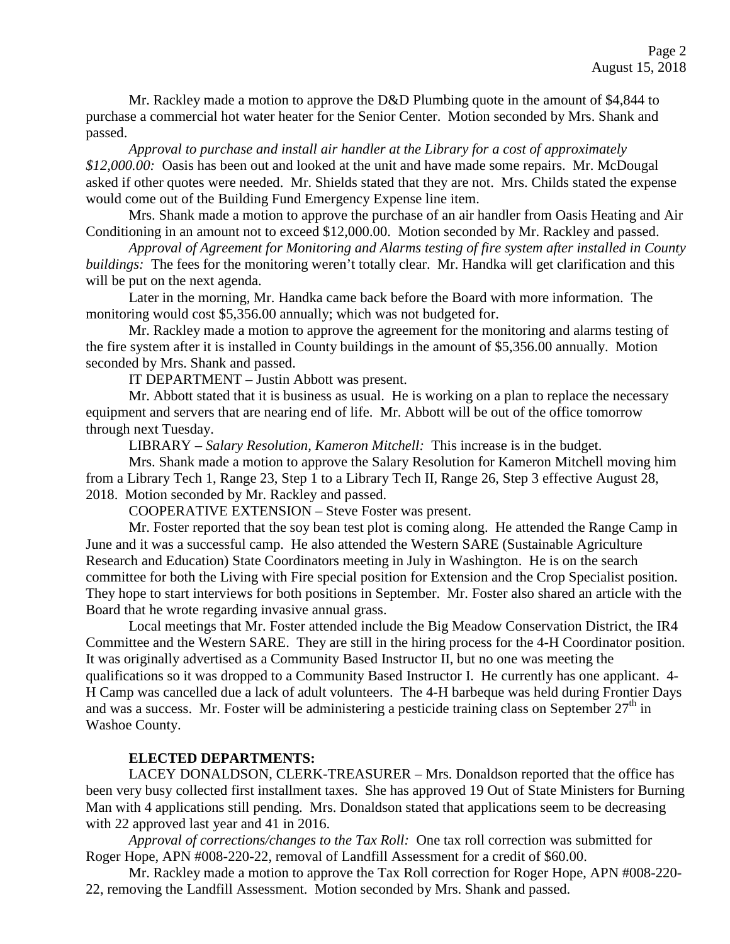Mr. Rackley made a motion to approve the D&D Plumbing quote in the amount of \$4,844 to purchase a commercial hot water heater for the Senior Center. Motion seconded by Mrs. Shank and passed.

*Approval to purchase and install air handler at the Library for a cost of approximately \$12,000.00:* Oasis has been out and looked at the unit and have made some repairs. Mr. McDougal asked if other quotes were needed. Mr. Shields stated that they are not. Mrs. Childs stated the expense would come out of the Building Fund Emergency Expense line item.

Mrs. Shank made a motion to approve the purchase of an air handler from Oasis Heating and Air Conditioning in an amount not to exceed \$12,000.00. Motion seconded by Mr. Rackley and passed.

*Approval of Agreement for Monitoring and Alarms testing of fire system after installed in County buildings*: The fees for the monitoring weren't totally clear. Mr. Handka will get clarification and this will be put on the next agenda.

Later in the morning, Mr. Handka came back before the Board with more information. The monitoring would cost \$5,356.00 annually; which was not budgeted for.

Mr. Rackley made a motion to approve the agreement for the monitoring and alarms testing of the fire system after it is installed in County buildings in the amount of \$5,356.00 annually. Motion seconded by Mrs. Shank and passed.

IT DEPARTMENT – Justin Abbott was present.

Mr. Abbott stated that it is business as usual. He is working on a plan to replace the necessary equipment and servers that are nearing end of life. Mr. Abbott will be out of the office tomorrow through next Tuesday.

LIBRARY – *Salary Resolution, Kameron Mitchell:* This increase is in the budget.

Mrs. Shank made a motion to approve the Salary Resolution for Kameron Mitchell moving him from a Library Tech 1, Range 23, Step 1 to a Library Tech II, Range 26, Step 3 effective August 28, 2018. Motion seconded by Mr. Rackley and passed.

COOPERATIVE EXTENSION – Steve Foster was present.

Mr. Foster reported that the soy bean test plot is coming along. He attended the Range Camp in June and it was a successful camp. He also attended the Western SARE (Sustainable Agriculture Research and Education) State Coordinators meeting in July in Washington. He is on the search committee for both the Living with Fire special position for Extension and the Crop Specialist position. They hope to start interviews for both positions in September. Mr. Foster also shared an article with the Board that he wrote regarding invasive annual grass.

Local meetings that Mr. Foster attended include the Big Meadow Conservation District, the IR4 Committee and the Western SARE. They are still in the hiring process for the 4-H Coordinator position. It was originally advertised as a Community Based Instructor II, but no one was meeting the qualifications so it was dropped to a Community Based Instructor I. He currently has one applicant. 4- H Camp was cancelled due a lack of adult volunteers. The 4-H barbeque was held during Frontier Days and was a success. Mr. Foster will be administering a pesticide training class on September  $27<sup>th</sup>$  in Washoe County.

## **ELECTED DEPARTMENTS:**

LACEY DONALDSON, CLERK-TREASURER – Mrs. Donaldson reported that the office has been very busy collected first installment taxes. She has approved 19 Out of State Ministers for Burning Man with 4 applications still pending. Mrs. Donaldson stated that applications seem to be decreasing with 22 approved last year and 41 in 2016.

*Approval of corrections/changes to the Tax Roll:* One tax roll correction was submitted for Roger Hope, APN #008-220-22, removal of Landfill Assessment for a credit of \$60.00.

Mr. Rackley made a motion to approve the Tax Roll correction for Roger Hope, APN #008-220- 22, removing the Landfill Assessment. Motion seconded by Mrs. Shank and passed.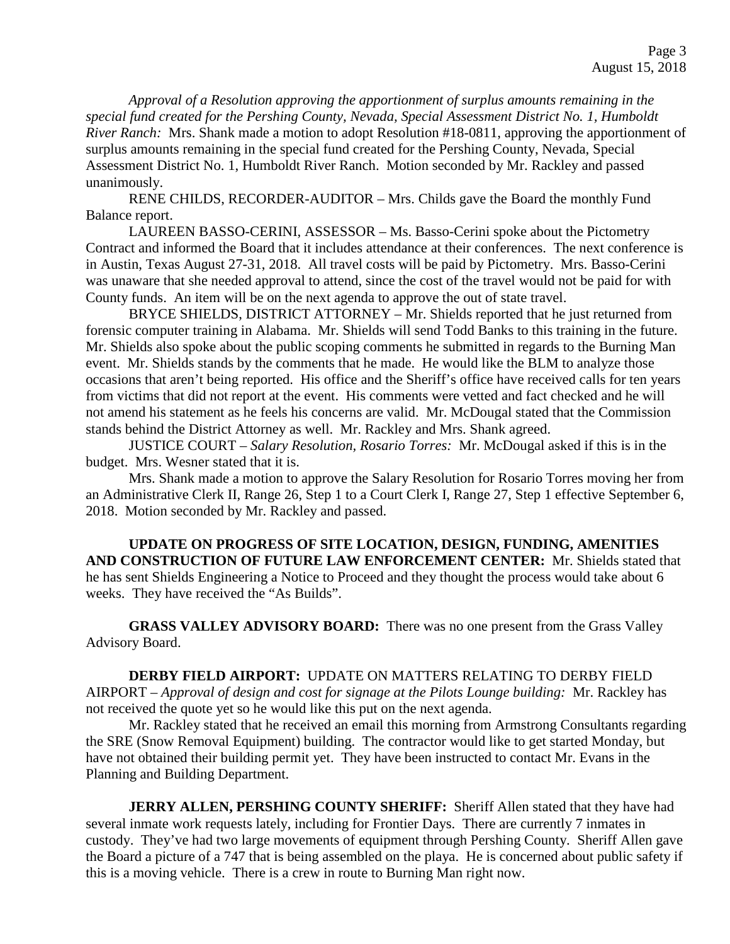*Approval of a Resolution approving the apportionment of surplus amounts remaining in the special fund created for the Pershing County, Nevada, Special Assessment District No. 1, Humboldt River Ranch:* Mrs. Shank made a motion to adopt Resolution #18-0811, approving the apportionment of surplus amounts remaining in the special fund created for the Pershing County, Nevada, Special Assessment District No. 1, Humboldt River Ranch. Motion seconded by Mr. Rackley and passed unanimously.

RENE CHILDS, RECORDER-AUDITOR – Mrs. Childs gave the Board the monthly Fund Balance report.

LAUREEN BASSO-CERINI, ASSESSOR – Ms. Basso-Cerini spoke about the Pictometry Contract and informed the Board that it includes attendance at their conferences. The next conference is in Austin, Texas August 27-31, 2018. All travel costs will be paid by Pictometry. Mrs. Basso-Cerini was unaware that she needed approval to attend, since the cost of the travel would not be paid for with County funds. An item will be on the next agenda to approve the out of state travel.

BRYCE SHIELDS, DISTRICT ATTORNEY – Mr. Shields reported that he just returned from forensic computer training in Alabama. Mr. Shields will send Todd Banks to this training in the future. Mr. Shields also spoke about the public scoping comments he submitted in regards to the Burning Man event. Mr. Shields stands by the comments that he made. He would like the BLM to analyze those occasions that aren't being reported. His office and the Sheriff's office have received calls for ten years from victims that did not report at the event. His comments were vetted and fact checked and he will not amend his statement as he feels his concerns are valid. Mr. McDougal stated that the Commission stands behind the District Attorney as well. Mr. Rackley and Mrs. Shank agreed.

JUSTICE COURT – *Salary Resolution, Rosario Torres:* Mr. McDougal asked if this is in the budget. Mrs. Wesner stated that it is.

Mrs. Shank made a motion to approve the Salary Resolution for Rosario Torres moving her from an Administrative Clerk II, Range 26, Step 1 to a Court Clerk I, Range 27, Step 1 effective September 6, 2018. Motion seconded by Mr. Rackley and passed.

**UPDATE ON PROGRESS OF SITE LOCATION, DESIGN, FUNDING, AMENITIES AND CONSTRUCTION OF FUTURE LAW ENFORCEMENT CENTER:** Mr. Shields stated that he has sent Shields Engineering a Notice to Proceed and they thought the process would take about 6 weeks. They have received the "As Builds".

**GRASS VALLEY ADVISORY BOARD:** There was no one present from the Grass Valley Advisory Board.

**DERBY FIELD AIRPORT:** UPDATE ON MATTERS RELATING TO DERBY FIELD AIRPORT – *Approval of design and cost for signage at the Pilots Lounge building:* Mr. Rackley has not received the quote yet so he would like this put on the next agenda.

Mr. Rackley stated that he received an email this morning from Armstrong Consultants regarding the SRE (Snow Removal Equipment) building. The contractor would like to get started Monday, but have not obtained their building permit yet. They have been instructed to contact Mr. Evans in the Planning and Building Department.

**JERRY ALLEN, PERSHING COUNTY SHERIFF:** Sheriff Allen stated that they have had several inmate work requests lately, including for Frontier Days. There are currently 7 inmates in custody. They've had two large movements of equipment through Pershing County. Sheriff Allen gave the Board a picture of a 747 that is being assembled on the playa. He is concerned about public safety if this is a moving vehicle. There is a crew in route to Burning Man right now.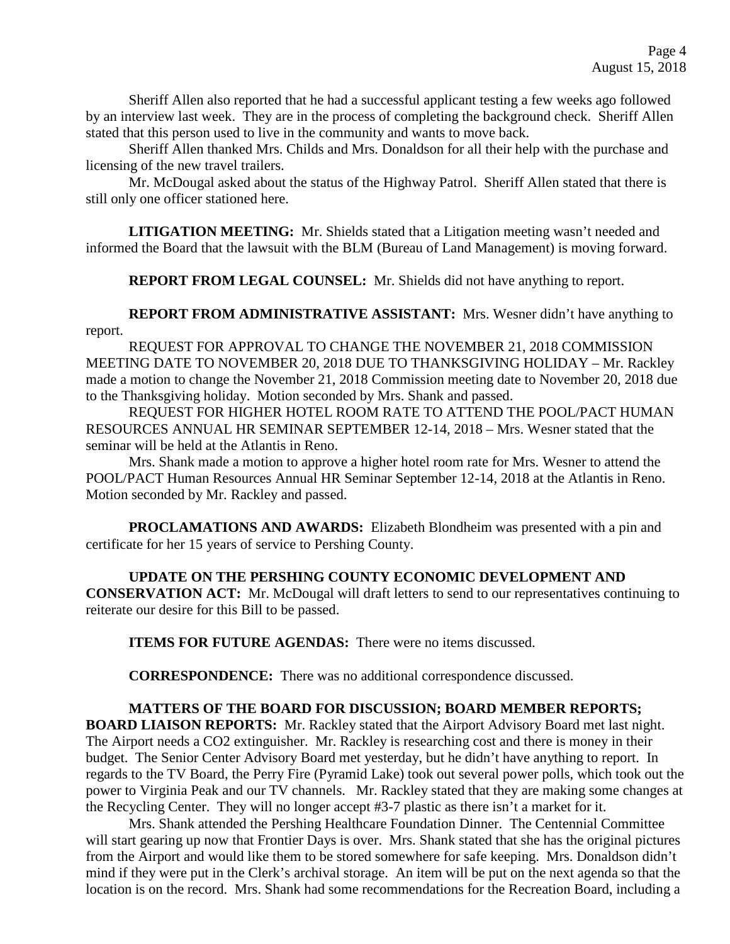Sheriff Allen also reported that he had a successful applicant testing a few weeks ago followed by an interview last week. They are in the process of completing the background check. Sheriff Allen stated that this person used to live in the community and wants to move back.

Sheriff Allen thanked Mrs. Childs and Mrs. Donaldson for all their help with the purchase and licensing of the new travel trailers.

Mr. McDougal asked about the status of the Highway Patrol. Sheriff Allen stated that there is still only one officer stationed here.

**LITIGATION MEETING:** Mr. Shields stated that a Litigation meeting wasn't needed and informed the Board that the lawsuit with the BLM (Bureau of Land Management) is moving forward.

**REPORT FROM LEGAL COUNSEL:** Mr. Shields did not have anything to report.

**REPORT FROM ADMINISTRATIVE ASSISTANT:** Mrs. Wesner didn't have anything to report.

REQUEST FOR APPROVAL TO CHANGE THE NOVEMBER 21, 2018 COMMISSION MEETING DATE TO NOVEMBER 20, 2018 DUE TO THANKSGIVING HOLIDAY – Mr. Rackley made a motion to change the November 21, 2018 Commission meeting date to November 20, 2018 due to the Thanksgiving holiday. Motion seconded by Mrs. Shank and passed.

REQUEST FOR HIGHER HOTEL ROOM RATE TO ATTEND THE POOL/PACT HUMAN RESOURCES ANNUAL HR SEMINAR SEPTEMBER 12-14, 2018 – Mrs. Wesner stated that the seminar will be held at the Atlantis in Reno.

Mrs. Shank made a motion to approve a higher hotel room rate for Mrs. Wesner to attend the POOL/PACT Human Resources Annual HR Seminar September 12-14, 2018 at the Atlantis in Reno. Motion seconded by Mr. Rackley and passed.

**PROCLAMATIONS AND AWARDS:** Elizabeth Blondheim was presented with a pin and certificate for her 15 years of service to Pershing County.

**UPDATE ON THE PERSHING COUNTY ECONOMIC DEVELOPMENT AND CONSERVATION ACT:** Mr. McDougal will draft letters to send to our representatives continuing to reiterate our desire for this Bill to be passed.

**ITEMS FOR FUTURE AGENDAS:** There were no items discussed.

**CORRESPONDENCE:** There was no additional correspondence discussed.

## **MATTERS OF THE BOARD FOR DISCUSSION; BOARD MEMBER REPORTS;**

**BOARD LIAISON REPORTS:** Mr. Rackley stated that the Airport Advisory Board met last night. The Airport needs a CO2 extinguisher. Mr. Rackley is researching cost and there is money in their budget. The Senior Center Advisory Board met yesterday, but he didn't have anything to report. In regards to the TV Board, the Perry Fire (Pyramid Lake) took out several power polls, which took out the power to Virginia Peak and our TV channels. Mr. Rackley stated that they are making some changes at the Recycling Center. They will no longer accept #3-7 plastic as there isn't a market for it.

Mrs. Shank attended the Pershing Healthcare Foundation Dinner. The Centennial Committee will start gearing up now that Frontier Days is over. Mrs. Shank stated that she has the original pictures from the Airport and would like them to be stored somewhere for safe keeping. Mrs. Donaldson didn't mind if they were put in the Clerk's archival storage. An item will be put on the next agenda so that the location is on the record. Mrs. Shank had some recommendations for the Recreation Board, including a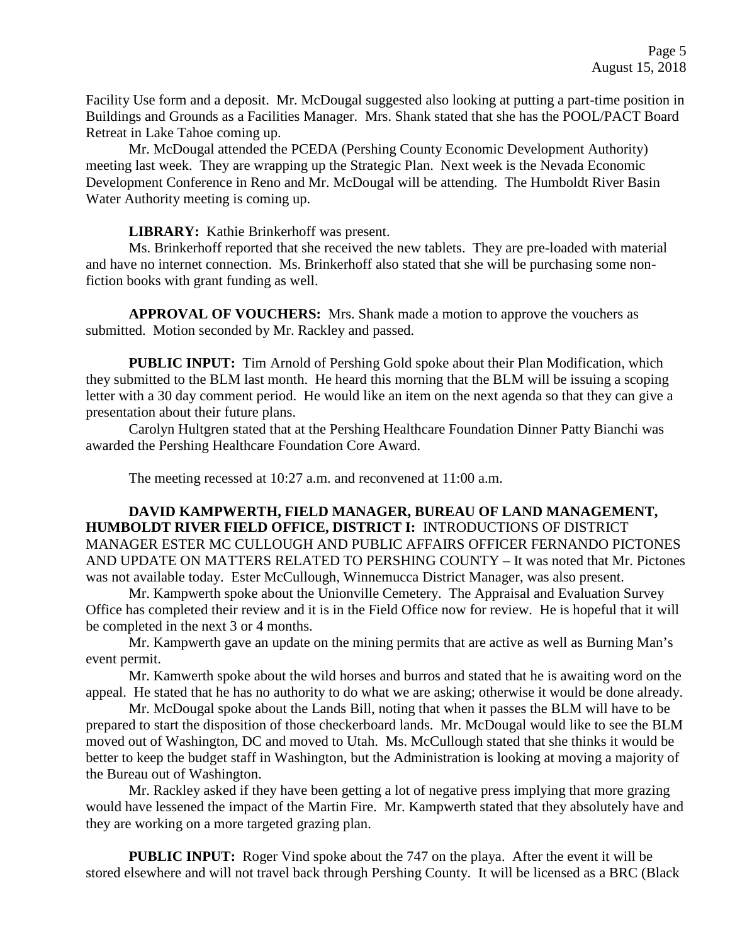Facility Use form and a deposit. Mr. McDougal suggested also looking at putting a part-time position in Buildings and Grounds as a Facilities Manager. Mrs. Shank stated that she has the POOL/PACT Board Retreat in Lake Tahoe coming up.

Mr. McDougal attended the PCEDA (Pershing County Economic Development Authority) meeting last week. They are wrapping up the Strategic Plan. Next week is the Nevada Economic Development Conference in Reno and Mr. McDougal will be attending. The Humboldt River Basin Water Authority meeting is coming up.

**LIBRARY:** Kathie Brinkerhoff was present.

Ms. Brinkerhoff reported that she received the new tablets. They are pre-loaded with material and have no internet connection. Ms. Brinkerhoff also stated that she will be purchasing some nonfiction books with grant funding as well.

**APPROVAL OF VOUCHERS:** Mrs. Shank made a motion to approve the vouchers as submitted. Motion seconded by Mr. Rackley and passed.

**PUBLIC INPUT:** Tim Arnold of Pershing Gold spoke about their Plan Modification, which they submitted to the BLM last month. He heard this morning that the BLM will be issuing a scoping letter with a 30 day comment period. He would like an item on the next agenda so that they can give a presentation about their future plans.

Carolyn Hultgren stated that at the Pershing Healthcare Foundation Dinner Patty Bianchi was awarded the Pershing Healthcare Foundation Core Award.

The meeting recessed at 10:27 a.m. and reconvened at 11:00 a.m.

**DAVID KAMPWERTH, FIELD MANAGER, BUREAU OF LAND MANAGEMENT, HUMBOLDT RIVER FIELD OFFICE, DISTRICT I:** INTRODUCTIONS OF DISTRICT MANAGER ESTER MC CULLOUGH AND PUBLIC AFFAIRS OFFICER FERNANDO PICTONES AND UPDATE ON MATTERS RELATED TO PERSHING COUNTY – It was noted that Mr. Pictones was not available today. Ester McCullough, Winnemucca District Manager, was also present.

Mr. Kampwerth spoke about the Unionville Cemetery. The Appraisal and Evaluation Survey Office has completed their review and it is in the Field Office now for review. He is hopeful that it will be completed in the next 3 or 4 months.

Mr. Kampwerth gave an update on the mining permits that are active as well as Burning Man's event permit.

Mr. Kamwerth spoke about the wild horses and burros and stated that he is awaiting word on the appeal. He stated that he has no authority to do what we are asking; otherwise it would be done already.

Mr. McDougal spoke about the Lands Bill, noting that when it passes the BLM will have to be prepared to start the disposition of those checkerboard lands. Mr. McDougal would like to see the BLM moved out of Washington, DC and moved to Utah. Ms. McCullough stated that she thinks it would be better to keep the budget staff in Washington, but the Administration is looking at moving a majority of the Bureau out of Washington.

Mr. Rackley asked if they have been getting a lot of negative press implying that more grazing would have lessened the impact of the Martin Fire. Mr. Kampwerth stated that they absolutely have and they are working on a more targeted grazing plan.

**PUBLIC INPUT:** Roger Vind spoke about the 747 on the playa. After the event it will be stored elsewhere and will not travel back through Pershing County. It will be licensed as a BRC (Black